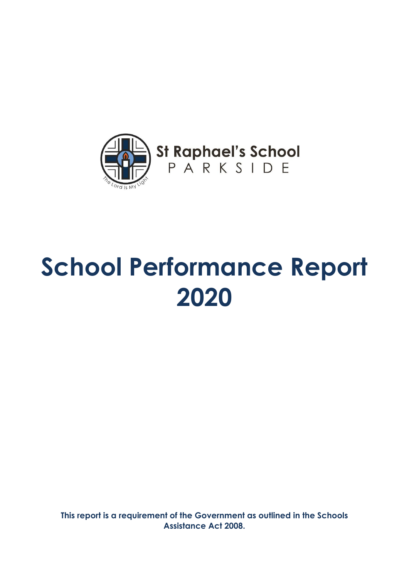

**This report is a requirement of the Government as outlined in the Schools Assistance Act 2008.**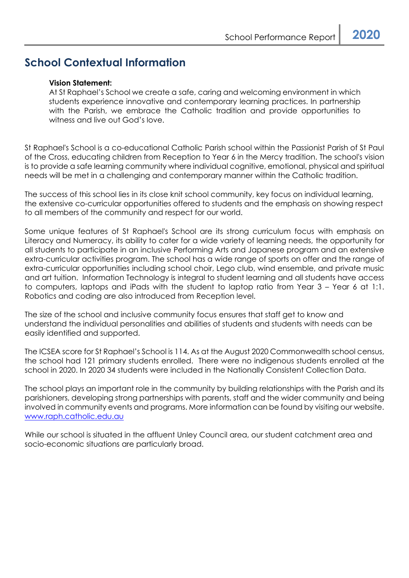# **School Contextual Information**

#### **Vision Statement:**

At St Raphael's School we create a safe, caring and welcoming environment in which students experience innovative and contemporary learning practices. In partnership with the Parish, we embrace the Catholic tradition and provide opportunities to witness and live out God's love.

St Raphael's School is a co-educational Catholic Parish school within the Passionist Parish of St Paul of the Cross, educating children from Reception to Year 6 in the Mercy tradition. The school's vision is to provide a safe learning community where individual cognitive, emotional, physical and spiritual needs will be met in a challenging and contemporary manner within the Catholic tradition.

The success of this school lies in its close knit school community, key focus on individual learning, the extensive co-curricular opportunities offered to students and the emphasis on showing respect to all members of the community and respect for our world.

Some unique features of St Raphael's School are its strong curriculum focus with emphasis on Literacy and Numeracy, its ability to cater for a wide variety of learning needs, the opportunity for all students to participate in an inclusive Performing Arts and Japanese program and an extensive extra-curricular activities program. The school has a wide range of sports on offer and the range of extra-curricular opportunities including school choir, Lego club, wind ensemble, and private music and art tuition. Information Technology is integral to student learning and all students have access to computers, laptops and iPads with the student to laptop ratio from Year 3 – Year 6 at 1:1. Robotics and coding are also introduced from Reception level.

The size of the school and inclusive community focus ensures that staff get to know and understand the individual personalities and abilities of students and students with needs can be easily identified and supported.

The ICSEA score for St Raphael's School is 114. As at the August 2020 Commonwealth school census, the school had 121 primary students enrolled. There were no indigenous students enrolled at the school in 2020. In 2020 34 students were included in the Nationally Consistent Collection Data.

The school plays an important role in the community by building relationships with the Parish and its parishioners, developing strong partnerships with parents, staff and the wider community and being involved in community events and programs. More information can be found by visiting our website. [www.raph.catholic.edu.au](http://www.raph.catholic.edu.au/)

While our school is situated in the affluent Unley Council area, our student catchment area and socio-economic situations are particularly broad.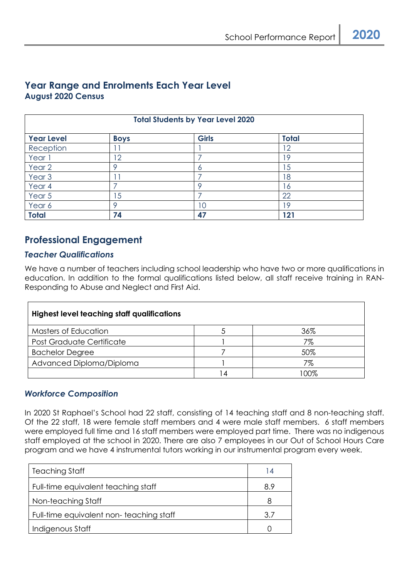# **Year Range and Enrolments Each Year Level August 2020 Census**

| <b>Total Students by Year Level 2020</b> |                |              |                 |
|------------------------------------------|----------------|--------------|-----------------|
| <b>Year Level</b>                        | <b>Boys</b>    | <b>Girls</b> | <b>Total</b>    |
| Reception                                |                |              | 12              |
| Year 1                                   | 12             |              | 19              |
| Year 2                                   |                | Ô            | 15              |
| Year <sub>3</sub>                        |                |              | 18              |
| Year 4                                   |                | O            | 16              |
| Year 5                                   | $\overline{5}$ |              | 22              |
| Year 6                                   |                | 10           | 19 <sup>°</sup> |
| <b>Total</b>                             | 74             | 47           | 121             |

# **Professional Engagement**

#### *Teacher Qualifications*

We have a number of teachers including school leadership who have two or more qualifications in education. In addition to the formal qualifications listed below, all staff receive training in RAN-Responding to Abuse and Neglect and First Aid.

| <b>Highest level teaching staff qualifications</b> |  |     |  |  |
|----------------------------------------------------|--|-----|--|--|
| Masters of Education                               |  | 36% |  |  |
| <b>Post Graduate Certificate</b>                   |  | 7%  |  |  |
| <b>Bachelor Degree</b>                             |  | 50% |  |  |
| Advanced Diploma/Diploma                           |  | 7%  |  |  |
|                                                    |  | നന് |  |  |

#### *Workforce Composition*

In 2020 St Raphael's School had 22 staff, consisting of 14 teaching staff and 8 non-teaching staff. Of the 22 staff, 18 were female staff members and 4 were male staff members. 6 staff members were employed full time and 16 staff members were employed part time. There was no indigenous staff employed at the school in 2020. There are also 7 employees in our Out of School Hours Care program and we have 4 instrumental tutors working in our instrumental program every week.

| Teaching Staff                          | l 4 |
|-----------------------------------------|-----|
| Full-time equivalent teaching staff     | 8.9 |
| Non-teaching Staff                      |     |
| Full-time equivalent non-teaching staff | 3.7 |
| Indigenous Staff                        |     |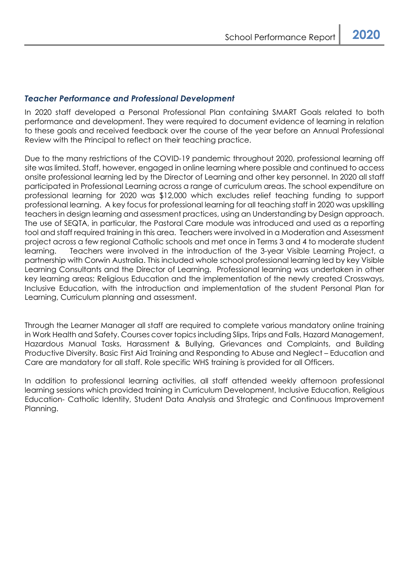#### *Teacher Performance and Professional Development*

In 2020 staff developed a Personal Professional Plan containing SMART Goals related to both performance and development. They were required to document evidence of learning in relation to these goals and received feedback over the course of the year before an Annual Professional Review with the Principal to reflect on their teaching practice.

Due to the many restrictions of the COVID-19 pandemic throughout 2020, professional learning off site was limited. Staff, however, engaged in online learning where possible and continued to access onsite professional learning led by the Director of Learning and other key personnel. In 2020 all staff participated in Professional Learning across a range of curriculum areas. The school expenditure on professional learning for 2020 was \$12,000 which excludes relief teaching funding to support professional learning. A key focus for professional learning for all teaching staff in 2020 was upskilling teachers in design learning and assessment practices, using an Understanding by Design approach. The use of SEQTA, in particular, the Pastoral Care module was introduced and used as a reporting tool and staff required training in this area. Teachers were involved in a Moderation and Assessment project across a few regional Catholic schools and met once in Terms 3 and 4 to moderate student learning. Teachers were involved in the introduction of the 3-year Visible Learning Project, a partnership with Corwin Australia. This included whole school professional learning led by key Visible Learning Consultants and the Director of Learning. Professional learning was undertaken in other key learning areas; Religious Education and the implementation of the newly created Crossways, Inclusive Education, with the introduction and implementation of the student Personal Plan for Learning, Curriculum planning and assessment.

Through the Learner Manager all staff are required to complete various mandatory online training in Work Health and Safety. Courses cover topics including Slips, Trips and Falls, Hazard Management, Hazardous Manual Tasks, Harassment & Bullying, Grievances and Complaints, and Building Productive Diversity. Basic First Aid Training and Responding to Abuse and Neglect – Education and Care are mandatory for all staff. Role specific WHS training is provided for all Officers.

In addition to professional learning activities, all staff attended weekly afternoon professional learning sessions which provided training in Curriculum Development, Inclusive Education, Religious Education- Catholic Identity, Student Data Analysis and Strategic and Continuous Improvement Planning.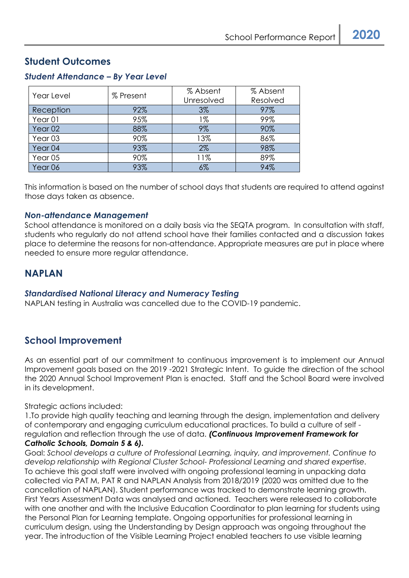# **Student Outcomes**

| Year Level         | % Present | % Absent<br>Unresolved | % Absent<br>Resolved |
|--------------------|-----------|------------------------|----------------------|
| Reception          | 92%       | $3\%$                  | 97%                  |
| Year <sub>01</sub> | 95%       | 1%                     | 99%                  |
| Year <sub>02</sub> | 88%       | 9%                     | 90%                  |
| Year <sub>03</sub> | 90%       | 13%                    | 86%                  |
| Year 04            | 93%       | $2\%$                  | 98%                  |
| Year <sub>05</sub> | 90%       | 11%                    | 89%                  |
| Year 06            | 93%       | 6%                     | 94%                  |

### *Student Attendance – By Year Level*

This information is based on the number of school days that students are required to attend against those days taken as absence.

#### *Non-attendance Management*

School attendance is monitored on a daily basis via the SEQTA program. In consultation with staff, students who regularly do not attend school have their families contacted and a discussion takes place to determine the reasons for non-attendance. Appropriate measures are put in place where needed to ensure more regular attendance.

# **NAPLAN**

#### *Standardised National Literacy and Numeracy Testing*

NAPLAN testing in Australia was cancelled due to the COVID-19 pandemic.

# **School Improvement**

As an essential part of our commitment to continuous improvement is to implement our Annual Improvement goals based on the 2019 -2021 Strategic Intent. To guide the direction of the school the 2020 Annual School Improvement Plan is enacted. Staff and the School Board were involved in its development.

Strategic actions included:

1.To provide high quality teaching and learning through the design, implementation and delivery of contemporary and engaging curriculum educational practices. To build a culture of self regulation and reflection through the use of data. *(Continuous Improvement Framework for Catholic Schools, Domain 5 & 6).*

Goal: *School develops a culture of Professional Learning, inquiry, and improvement. Continue to develop relationship with Regional Cluster School- Professional Learning and shared expertise.* To achieve this goal staff were involved with ongoing professional learning in unpacking data collected via PAT M, PAT R and NAPLAN Analysis from 2018/2019 (2020 was omitted due to the cancellation of NAPLAN). Student performance was tracked to demonstrate learning growth. First Years Assessment Data was analysed and actioned. Teachers were released to collaborate with one another and with the Inclusive Education Coordinator to plan learning for students using the Personal Plan for Learning template. Ongoing opportunities for professional learning in curriculum design, using the Understanding by Design approach was ongoing throughout the year. The introduction of the Visible Learning Project enabled teachers to use visible learning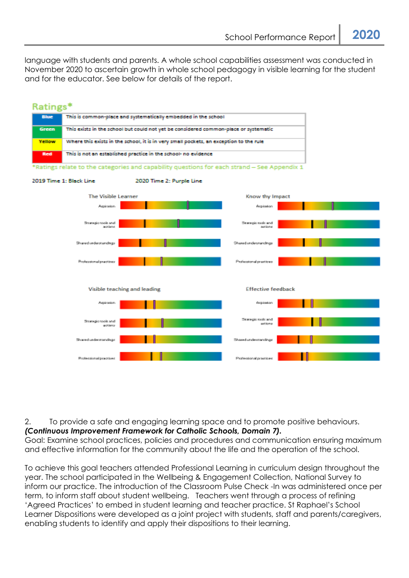language with students and parents. A whole school capabilities assessment was conducted in November 2020 to ascertain growth in whole school pedagogy in visible learning for the student and for the educator. See below for details of the report.



2. To provide a safe and engaging learning space and to promote positive behaviours.

*(Continuous Improvement Framework for Catholic Schools, Domain 7).*

Goal: Examine school practices, policies and procedures and communication ensuring maximum and effective information for the community about the life and the operation of the school.

To achieve this goal teachers attended Professional Learning in curriculum design throughout the year. The school participated in the Wellbeing & Engagement Collection, National Survey to inform our practice. The introduction of the Classroom Pulse Check -In was administered once per term, to inform staff about student wellbeing. Teachers went through a process of refining 'Agreed Practices' to embed in student learning and teacher practice. St Raphael's School Learner Dispositions were developed as a joint project with students, staff and parents/caregivers, enabling students to identify and apply their dispositions to their learning.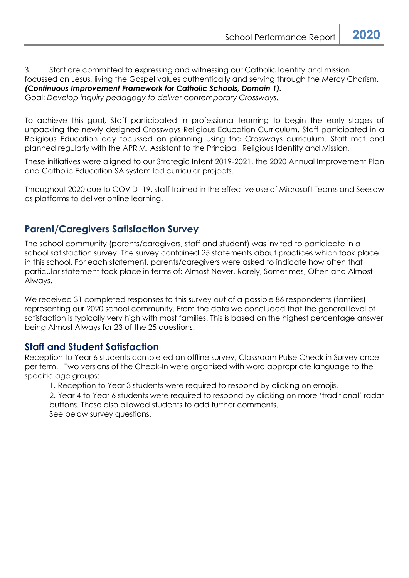3. Staff are committed to expressing and witnessing our Catholic Identity and mission focussed on Jesus, living the Gospel values authentically and serving through the Mercy Charism. *(Continuous Improvement Framework for Catholic Schools, Domain 1).* Goal: *Develop inquiry pedagogy to deliver contemporary Crossways.*

To achieve this goal, Staff participated in professional learning to begin the early stages of unpacking the newly designed Crossways Religious Education Curriculum. Staff participated in a Religious Education day focussed on planning using the Crossways curriculum. Staff met and planned regularly with the APRIM, Assistant to the Principal, Religious Identity and Mission,

These initiatives were aligned to our Strategic Intent 2019-2021, the 2020 Annual Improvement Plan and Catholic Education SA system led curricular projects.

Throughout 2020 due to COVID -19, staff trained in the effective use of Microsoft Teams and Seesaw as platforms to deliver online learning.

# **Parent/Caregivers Satisfaction Survey**

The school community (parents/caregivers, staff and student) was invited to participate in a school satisfaction survey. The survey contained 25 statements about practices which took place in this school. For each statement, parents/caregivers were asked to indicate how often that particular statement took place in terms of: Almost Never, Rarely, Sometimes, Often and Almost Always.

We received 31 completed responses to this survey out of a possible 86 respondents (families) representing our 2020 school community. From the data we concluded that the general level of satisfaction is typically very high with most families. This is based on the highest percentage answer being Almost Always for 23 of the 25 questions.

# **Staff and Student Satisfaction**

Reception to Year 6 students completed an offline survey, Classroom Pulse Check in Survey once per term. Two versions of the Check-In were organised with word appropriate language to the specific age groups:

1. Reception to Year 3 students were required to respond by clicking on emojis.

2. Year 4 to Year 6 students were required to respond by clicking on more 'traditional' radar buttons. These also allowed students to add further comments. See below survey questions.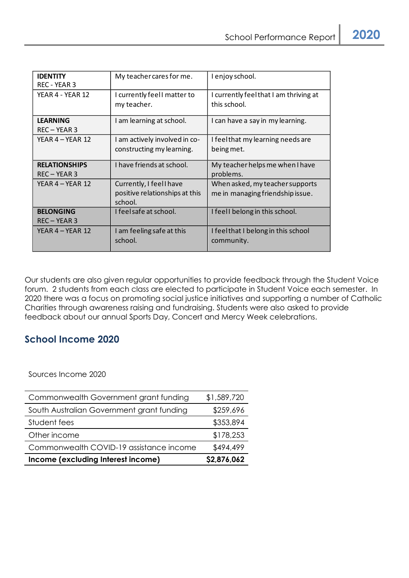| <b>IDENTITY</b>      |                                |                                        |
|----------------------|--------------------------------|----------------------------------------|
|                      | My teacher cares for me.       | I enjoy school.                        |
| REC - YEAR 3         |                                |                                        |
| YEAR 4 - YEAR 12     | I currently feel I matter to   | I currently feel that I am thriving at |
|                      | my teacher.                    | this school.                           |
|                      |                                |                                        |
| <b>LEARNING</b>      | I am learning at school.       | I can have a say in my learning.       |
| REC-YEAR 3           |                                |                                        |
| YEAR 4 – YEAR 12     | I am actively involved in co-  | I feel that my learning needs are      |
|                      | constructing my learning.      | being met.                             |
|                      |                                |                                        |
| <b>RELATIONSHIPS</b> | I have friends at school.      | My teacher helps me when I have        |
| $REC - YEAR$ 3       |                                | problems.                              |
| YEAR $4 - YEAR$ 12   | Currently, I feel I have       | When asked, my teacher supports        |
|                      | positive relationships at this | me in managing friendship issue.       |
|                      | school.                        |                                        |
| <b>BELONGING</b>     | I feelsafe at school.          | I feell belong in this school.         |
| REC-YEAR 3           |                                |                                        |
| YEAR $4 - YEAR$ 12   | I am feeling safe at this      | I feel that I belong in this school    |
|                      | school.                        | community.                             |
|                      |                                |                                        |

Our students are also given regular opportunities to provide feedback through the Student Voice forum. 2 students from each class are elected to participate in Student Voice each semester. In 2020 there was a focus on promoting social justice initiatives and supporting a number of Catholic Charities through awareness raising and fundraising. Students were also asked to provide feedback about our annual Sports Day, Concert and Mercy Week celebrations.

# **School Income 2020**

Sources Income 2020

| Commonwealth Government grant funding     | \$1,589,720 |
|-------------------------------------------|-------------|
| South Australian Government grant funding | \$259,696   |
| Student fees                              | \$353,894   |
| Other income                              | \$178,253   |
| Commonwealth COVID-19 assistance income   | \$494,499   |
| Income (excluding Interest income)        | \$2,876,062 |